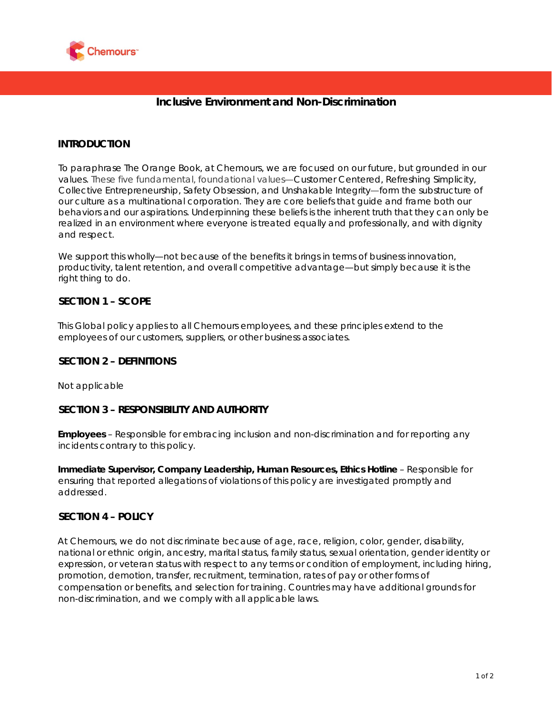

# **Inclusive Environment and Non-Discrimination**

### **INTRODUCTION**

To paraphrase *The Orange Book*, at Chemours, we are focused on our future, but grounded in our values. These five fundamental, foundational values—Customer Centered, Refreshing Simplicity, Collective Entrepreneurship, Safety Obsession, and Unshakable Integrity—form the substructure of our culture as a multinational corporation. They are core beliefs that guide and frame both our behaviors and our aspirations. Underpinning these beliefs is the inherent truth that they can only be realized in an environment where everyone is treated equally and professionally, and with dignity and respect.

We support this wholly—not because of the benefits it brings in terms of business innovation, productivity, talent retention, and overall competitive advantage—but simply because it is the right thing to do.

### **SECTION 1 – SCOPE**

This Global policy applies to all Chemours employees, and these principles extend to the employees of our customers, suppliers, or other business associates.

#### **SECTION 2 – DEFINITIONS**

Not applicable

## **SECTION 3 – RESPONSIBILITY AND AUTHORITY**

**Employees** – Responsible for embracing inclusion and non-discrimination and for reporting any incidents contrary to this policy.

**Immediate Supervisor, Company Leadership, Human Resources, Ethics Hotline** – Responsible for ensuring that reported allegations of violations of this policy are investigated promptly and addressed.

## **SECTION 4 – POLICY**

At Chemours, we do not discriminate because of age, race, religion, color, gender, disability, national or ethnic origin, ancestry, marital status, family status, sexual orientation, gender identity or expression, or veteran status with respect to any terms or condition of employment, including hiring, promotion, demotion, transfer, recruitment, termination, rates of pay or other forms of compensation or benefits, and selection for training. Countries may have additional grounds for non-discrimination, and we comply with all applicable laws.